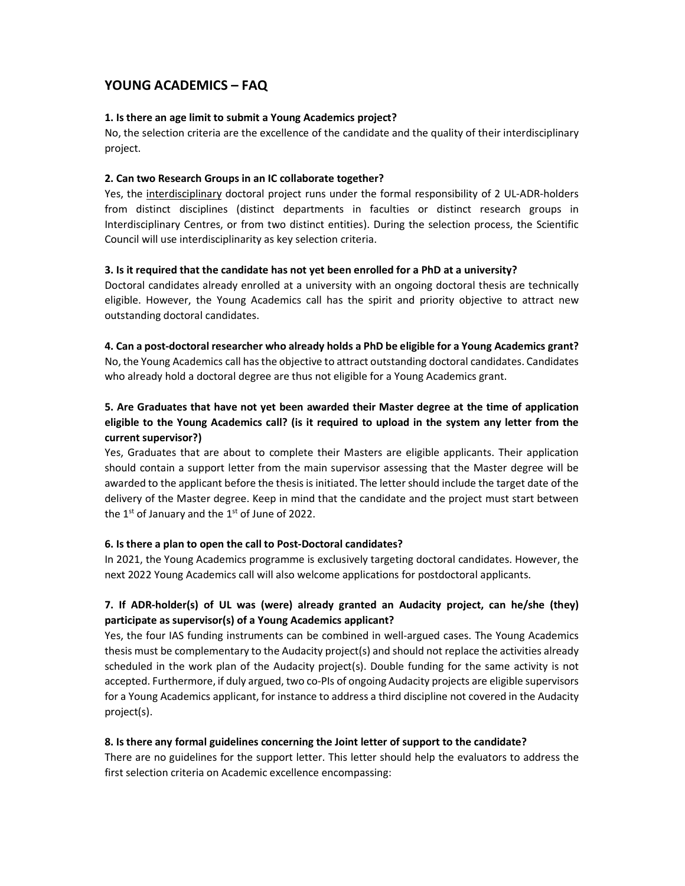# YOUNG ACADEMICS – FAQ

### 1. Is there an age limit to submit a Young Academics project?

No, the selection criteria are the excellence of the candidate and the quality of their interdisciplinary project.

### 2. Can two Research Groups in an IC collaborate together?

Yes, the interdisciplinary doctoral project runs under the formal responsibility of 2 UL-ADR-holders from distinct disciplines (distinct departments in faculties or distinct research groups in Interdisciplinary Centres, or from two distinct entities). During the selection process, the Scientific Council will use interdisciplinarity as key selection criteria.

### 3. Is it required that the candidate has not yet been enrolled for a PhD at a university?

Doctoral candidates already enrolled at a university with an ongoing doctoral thesis are technically eligible. However, the Young Academics call has the spirit and priority objective to attract new outstanding doctoral candidates.

4. Can a post-doctoral researcher who already holds a PhD be eligible for a Young Academics grant? No, the Young Academics call has the objective to attract outstanding doctoral candidates. Candidates who already hold a doctoral degree are thus not eligible for a Young Academics grant.

# 5. Are Graduates that have not yet been awarded their Master degree at the time of application eligible to the Young Academics call? (is it required to upload in the system any letter from the current supervisor?)

Yes, Graduates that are about to complete their Masters are eligible applicants. Their application should contain a support letter from the main supervisor assessing that the Master degree will be awarded to the applicant before the thesis is initiated. The letter should include the target date of the delivery of the Master degree. Keep in mind that the candidate and the project must start between the  $1^{st}$  of January and the  $1^{st}$  of June of 2022.

## 6. Is there a plan to open the call to Post-Doctoral candidates?

In 2021, the Young Academics programme is exclusively targeting doctoral candidates. However, the next 2022 Young Academics call will also welcome applications for postdoctoral applicants.

# 7. If ADR-holder(s) of UL was (were) already granted an Audacity project, can he/she (they) participate as supervisor(s) of a Young Academics applicant?

Yes, the four IAS funding instruments can be combined in well-argued cases. The Young Academics thesis must be complementary to the Audacity project(s) and should not replace the activities already scheduled in the work plan of the Audacity project(s). Double funding for the same activity is not accepted. Furthermore, if duly argued, two co-PIs of ongoing Audacity projects are eligible supervisors for a Young Academics applicant, for instance to address a third discipline not covered in the Audacity project(s).

## 8. Is there any formal guidelines concerning the Joint letter of support to the candidate?

There are no guidelines for the support letter. This letter should help the evaluators to address the first selection criteria on Academic excellence encompassing: